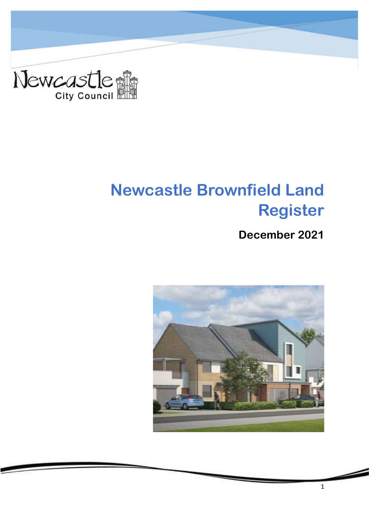

# <span id="page-0-1"></span><span id="page-0-0"></span>**Newcastle Brownfield Land Register**

## **December 2021**



1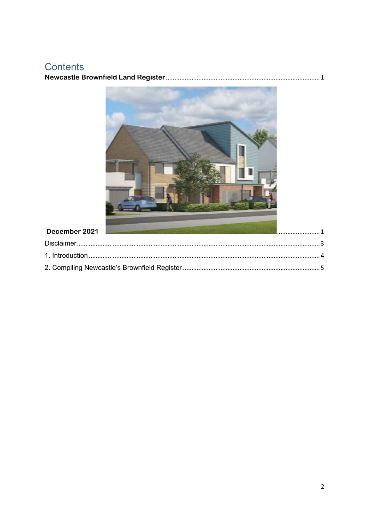# Contents

|--|



### December 2021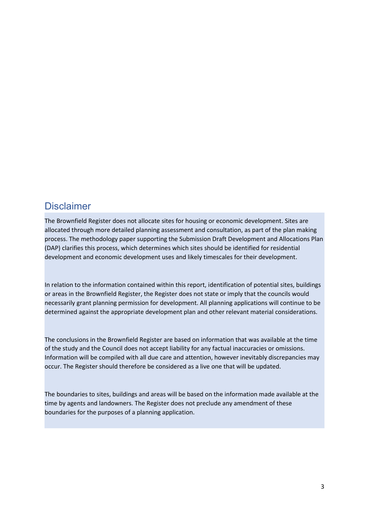### <span id="page-2-0"></span>**Disclaimer**

The Brownfield Register does not allocate sites for housing or economic development. Sites are allocated through more detailed planning assessment and consultation, as part of the plan making process. The methodology paper supporting the Submission Draft Development and Allocations Plan (DAP) clarifies this process, which determines which sites should be identified for residential development and economic development uses and likely timescales for their development.

In relation to the information contained within this report, identification of potential sites, buildings or areas in the Brownfield Register, the Register does not state or imply that the councils would necessarily grant planning permission for development. All planning applications will continue to be determined against the appropriate development plan and other relevant material considerations.

The conclusions in the Brownfield Register are based on information that was available at the time of the study and the Council does not accept liability for any factual inaccuracies or omissions. Information will be compiled with all due care and attention, however inevitably discrepancies may occur. The Register should therefore be considered as a live one that will be updated.

The boundaries to sites, buildings and areas will be based on the information made available at the time by agents and landowners. The Register does not preclude any amendment of these boundaries for the purposes of a planning application.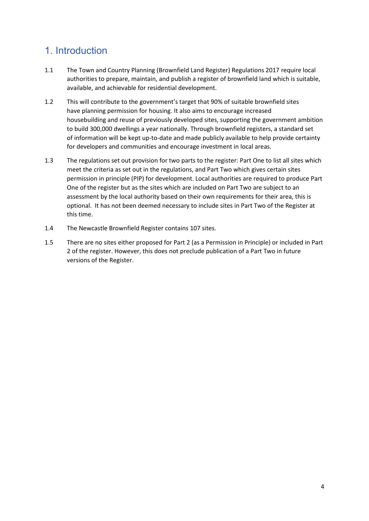## <span id="page-3-0"></span>1. Introduction

- 1.1 The Town and Country Planning (Brownfield Land Register) Regulations 2017 require local authorities to prepare, maintain, and publish a register of brownfield land which is suitable, available, and achievable for residential development.
- 1.2 This will contribute to the government's target that 90% of suitable brownfield sites have planning permission for housing. It also aims to encourage increased housebuilding and reuse of previously developed sites, supporting the government ambition to build 300,000 dwellings a year nationally. Through brownfield registers, a standard set of information will be kept up-to-date and made publicly available to help provide certainty for developers and communities and encourage investment in local areas.
- 1.3 The regulations set out provision for two parts to the register: Part One to list all sites which meet the criteria as set out in the regulations, and Part Two which gives certain sites permission in principle (PIP) for development. Local authorities are required to produce Part One of the register but as the sites which are included on Part Two are subject to an assessment by the local authority based on their own requirements for their area, this is optional. It has not been deemed necessary to include sites in Part Two of the Register at this time.
- 1.4 The Newcastle Brownfield Register contains 107 sites.
- 1.5 There are no sites either proposed for Part 2 (as a Permission in Principle) or included in Part 2 of the register. However, this does not preclude publication of a Part Two in future versions of the Register.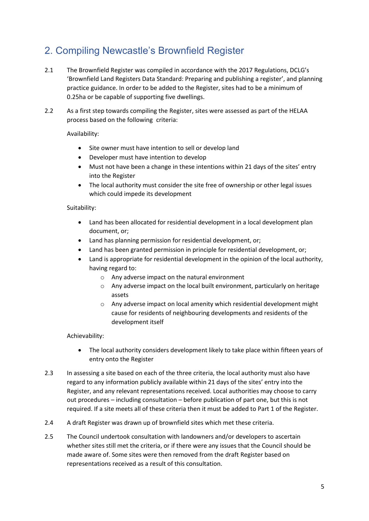## <span id="page-4-0"></span>2. Compiling Newcastle's Brownfield Register

- 2.1 The Brownfield Register was compiled in accordance with the 2017 Regulations, DCLG's 'Brownfield Land Registers Data Standard: Preparing and publishing a register', and planning practice guidance. In order to be added to the Register, sites had to be a minimum of 0.25ha or be capable of supporting five dwellings.
- 2.2 As a first step towards compiling the Register, sites were assessed as part of the HELAA process based on the following criteria:

Availability:

- Site owner must have intention to sell or develop land
- Developer must have intention to develop
- Must not have been a change in these intentions within 21 days of the sites' entry into the Register
- The local authority must consider the site free of ownership or other legal issues which could impede its development

#### Suitability:

- Land has been allocated for residential development in a local development plan document, or;
- Land has planning permission for residential development, or;
- Land has been granted permission in principle for residential development, or;
- Land is appropriate for residential development in the opinion of the local authority, having regard to:
	- o Any adverse impact on the natural environment
	- o Any adverse impact on the local built environment, particularly on heritage assets
	- o Any adverse impact on local amenity which residential development might cause for residents of neighbouring developments and residents of the development itself

#### Achievability:

- The local authority considers development likely to take place within fifteen years of entry onto the Register
- 2.3 In assessing a site based on each of the three criteria, the local authority must also have regard to any information publicly available within 21 days of the sites' entry into the Register, and any relevant representations received. Local authorities may choose to carry out procedures – including consultation – before publication of part one, but this is not required. If a site meets all of these criteria then it must be added to Part 1 of the Register.
- 2.4 A draft Register was drawn up of brownfield sites which met these criteria.
- 2.5 The Council undertook consultation with landowners and/or developers to ascertain whether sites still met the criteria, or if there were any issues that the Council should be made aware of. Some sites were then removed from the draft Register based on representations received as a result of this consultation.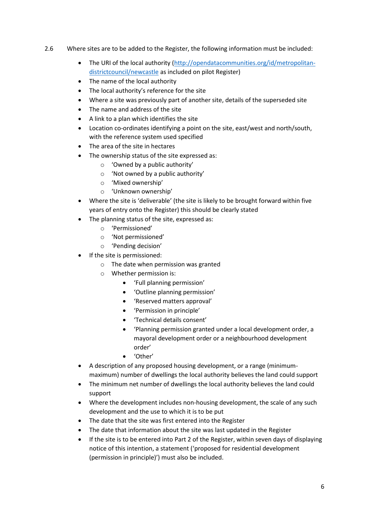- 2.6 Where sites are to be added to the Register, the following information must be included:
	- The URI of the local authority [\(http://opendatacommunities.org/id/metropolitan](http://opendatacommunities.org/id/metropolitan-districtcouncil/newcastle)[districtcouncil/newcastle](http://opendatacommunities.org/id/metropolitan-districtcouncil/newcastle) as included on pilot Register)
	- The name of the local authority
	- The local authority's reference for the site
	- Where a site was previously part of another site, details of the superseded site
	- The name and address of the site
	- A link to a plan which identifies the site
	- Location co-ordinates identifying a point on the site, east/west and north/south, with the reference system used specified
	- The area of the site in hectares
	- The ownership status of the site expressed as:
		- o 'Owned by a public authority'
		- o 'Not owned by a public authority'
		- o 'Mixed ownership'
		- o 'Unknown ownership'
	- Where the site is 'deliverable' (the site is likely to be brought forward within five years of entry onto the Register) this should be clearly stated
	- The planning status of the site, expressed as:
		- o 'Permissioned'
		- o 'Not permissioned'
		- o 'Pending decision'
	- If the site is permissioned:
		- o The date when permission was granted
		- o Whether permission is:
			- 'Full planning permission'
			- 'Outline planning permission'
			- 'Reserved matters approval'
			- 'Permission in principle'
			- 'Technical details consent'
			- 'Planning permission granted under a local development order, a mayoral development order or a neighbourhood development order'
			- 'Other'
	- A description of any proposed housing development, or a range (minimummaximum) number of dwellings the local authority believes the land could support
	- The minimum net number of dwellings the local authority believes the land could support
	- Where the development includes non-housing development, the scale of any such development and the use to which it is to be put
	- The date that the site was first entered into the Register
	- The date that information about the site was last updated in the Register
	- If the site is to be entered into Part 2 of the Register, within seven days of displaying notice of this intention, a statement ('proposed for residential development (permission in principle)') must also be included.